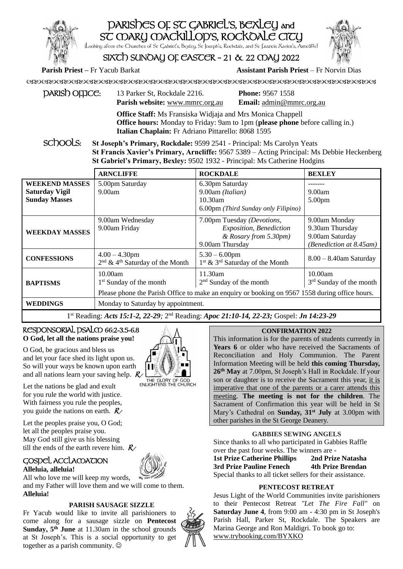# PARISHES OF ST GABRIEL'S, BEXLEY and SC MARY MACKILLOP'S, ROCKOALE CITY (Looking after the Churches of St Gabriel's, Bexley, St Joseph's, Rockdale, and St Francis Xavier's, Arncliffe)

SIXTH SUNDAY OF EASTER – 21 & 22 MAY 2022

**Parish Priest –** Fr Yacub Barkat **Assistant Parish Priest** – Fr Norvin Dias

| $p$ ARIS $b$ OFFICE: | 13 Parker St, Rockdale 2216.           | <b>Phone: 9567 1558</b>         |
|----------------------|----------------------------------------|---------------------------------|
|                      | <b>Parish website:</b> www.mmrc.org.au | <b>Email:</b> admin@mmrc.org.au |

**Office Staff:** Ms Fransiska Widjaja and Mrs Monica Chappell **Office hours:** Monday to Friday: 9am to 1pm (**please phone** before calling in.) **Italian Chaplain:** Fr Adriano Pittarello: 8068 1595

SC<sub>DOOLS:</sub> St Joseph's Primary, Rockdale: 9599 2541 - Principal: Ms Carolyn Yeats **St Francis Xavier's Primary, Arncliffe:** 9567 5389 – Acting Principal: Ms Debbie Heckenberg **St Gabriel's Primary, Bexley:** 9502 1932 - Principal: Ms Catherine Hodgins

|                                                                        | <b>ARNCLIFFE</b>                                                  | <b>ROCKDALE</b>                                                                                                                        | <b>BEXLEY</b>                                                                  |
|------------------------------------------------------------------------|-------------------------------------------------------------------|----------------------------------------------------------------------------------------------------------------------------------------|--------------------------------------------------------------------------------|
| <b>WEEKEND MASSES</b><br><b>Saturday Vigil</b><br><b>Sunday Masses</b> | 5.00pm Saturday<br>9.00am                                         | 6.30pm Saturday<br>9.00am (Italian)<br>$10.30$ am<br>6.00pm (Third Sunday only Filipino)                                               | 9.00am<br>5.00 <sub>pm</sub>                                                   |
| <b>WEEKDAY MASSES</b>                                                  | 9.00am Wednesday<br>9.00am Friday                                 | 7.00pm Tuesday (Devotions,<br>Exposition, Benediction<br>& Rosary from 5.30pm)<br>9.00am Thursday                                      | 9.00am Monday<br>9.30am Thursday<br>9.00am Saturday<br>(Benediction at 8.45am) |
| <b>CONFESSIONS</b>                                                     | $4.00 - 4.30$ pm<br>$2nd$ & 4 <sup>th</sup> Saturday of the Month | $5.30 - 6.00$ pm<br>1 <sup>st</sup> & 3 <sup>rd</sup> Saturday of the Month                                                            | $8.00 - 8.40$ am Saturday                                                      |
| <b>BAPTISMS</b>                                                        | 10.00am<br>1 <sup>st</sup> Sunday of the month                    | 11.30am<br>$2nd$ Sunday of the month<br>Please phone the Parish Office to make an enquiry or booking on 9567 1558 during office hours. | 10.00am<br>$3rd$ Sunday of the month                                           |
| <b>WEDDINGS</b>                                                        | Monday to Saturday by appointment.                                |                                                                                                                                        |                                                                                |

1<sup>st</sup> Reading: *Acts 15:1-2, 22-29; 2<sup>nd</sup> Reading: <i>Apoc 21:10-14, 22-23; Gospel: Jn 14:23-29* 

# RESDONSORIAL DSALCO 66:2-3.5-6.8 **O God, let all the nations praise you!**

O God, be gracious and bless us and let your face shed its light upon us. So will your ways be known upon earth and all nations learn your saving help.  $R/\sqrt{\frac{N}{N}}$  THE GLORY OF GOD

Let the nations be glad and exult for you rule the world with justice. With fairness you rule the peoples, you guide the nations on earth.  $R$ 

Let the peoples praise you, O God; let all the peoples praise you. May God still give us his blessing till the ends of the earth revere him.  $R$ 

## GOSPEL ACCLAMATION **Alleluia, alleluia!**



All who love me will keep my words, and my Father will love them and we will come to them. **Alleluia!**

# **PARISH SAUSAGE SIZZLE**

Fr Yacub would like to invite all parishioners to come along for a sausage sizzle on **Pentecost Sunday, 5th June** at 11.30am in the school grounds at St Joseph's. This is a social opportunity to get together as a parish community.  $\odot$ 



# **CONFIRMATION 2022**

This information is for the parents of students currently in Years 6 or older who have received the Sacraments of Reconciliation and Holy Communion. The Parent Information Meeting will be held **this coming Thursday, 26th May** at 7.00pm, St Joseph's Hall in Rockdale. If your son or daughter is to receive the Sacrament this year, it is imperative that one of the parents or a carer attends this meeting. **The meeting is not for the children**. The Sacrament of Confirmation this year will be held in St Mary's Cathedral on **Sunday, 31st July** at 3.00pm with other parishes in the St George Deanery.

# **GABBIES SEWING ANGELS**

Since thanks to all who participated in Gabbies Raffle over the past four weeks. The winners are -

**1st Prize Catherine Phillips 2nd Prize Natasha 3rd Prize Pauline Fenech 4th Prize Brendan**  Special thanks to all ticket sellers for their assistance.

# **PENTECOST RETREAT**

Jesus Light of the World Communities invite parishioners to their Pentecost Retreat *"Let The Fire Fall"* on **Saturday June 4**, from 9:00 am - 4:30 pm in St Joseph's Parish Hall, Parker St, Rockdale. The Speakers are Marina George and Ron Maldigri. To book go to: [www.trybooking.com/BYXKO](http://www.trybooking.com/BYXKO)